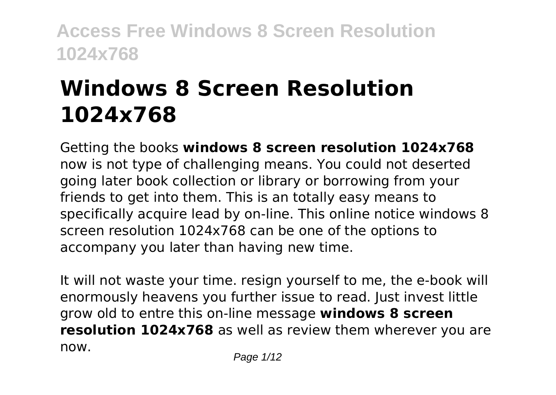# **Windows 8 Screen Resolution 1024x768**

Getting the books **windows 8 screen resolution 1024x768** now is not type of challenging means. You could not deserted going later book collection or library or borrowing from your friends to get into them. This is an totally easy means to specifically acquire lead by on-line. This online notice windows 8 screen resolution 1024x768 can be one of the options to accompany you later than having new time.

It will not waste your time. resign yourself to me, the e-book will enormously heavens you further issue to read. Just invest little grow old to entre this on-line message **windows 8 screen resolution 1024x768** as well as review them wherever you are now.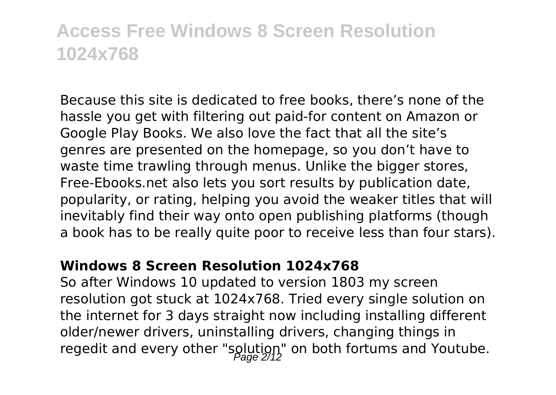Because this site is dedicated to free books, there's none of the hassle you get with filtering out paid-for content on Amazon or Google Play Books. We also love the fact that all the site's genres are presented on the homepage, so you don't have to waste time trawling through menus. Unlike the bigger stores, Free-Ebooks.net also lets you sort results by publication date, popularity, or rating, helping you avoid the weaker titles that will inevitably find their way onto open publishing platforms (though a book has to be really quite poor to receive less than four stars).

#### **Windows 8 Screen Resolution 1024x768**

So after Windows 10 updated to version 1803 my screen resolution got stuck at 1024x768. Tried every single solution on the internet for 3 days straight now including installing different older/newer drivers, uninstalling drivers, changing things in regedit and every other "solution" on both fortums and Youtube.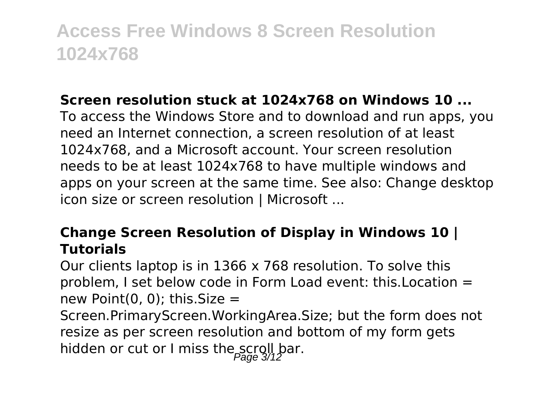#### **Screen resolution stuck at 1024x768 on Windows 10 ...**

To access the Windows Store and to download and run apps, you need an Internet connection, a screen resolution of at least 1024x768, and a Microsoft account. Your screen resolution needs to be at least 1024x768 to have multiple windows and apps on your screen at the same time. See also: Change desktop icon size or screen resolution | Microsoft ...

#### **Change Screen Resolution of Display in Windows 10 | Tutorials**

Our clients laptop is in 1366 x 768 resolution. To solve this problem, I set below code in Form Load event: this.Location = new Point(0, 0); this. Size  $=$ 

Screen.PrimaryScreen.WorkingArea.Size; but the form does not resize as per screen resolution and bottom of my form gets hidden or cut or I miss the scroll bar.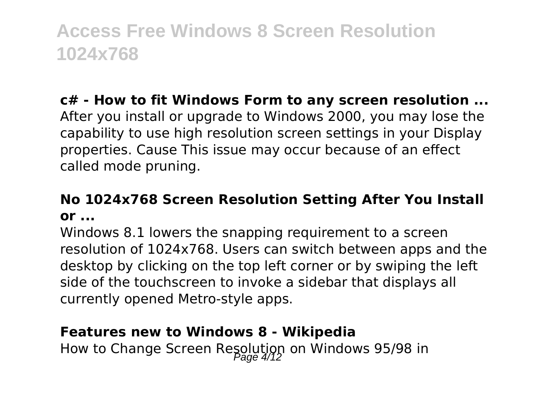### **c# - How to fit Windows Form to any screen resolution ...**

After you install or upgrade to Windows 2000, you may lose the capability to use high resolution screen settings in your Display properties. Cause This issue may occur because of an effect called mode pruning.

### **No 1024x768 Screen Resolution Setting After You Install or ...**

Windows 8.1 lowers the snapping requirement to a screen resolution of 1024x768. Users can switch between apps and the desktop by clicking on the top left corner or by swiping the left side of the touchscreen to invoke a sidebar that displays all currently opened Metro-style apps.

#### **Features new to Windows 8 - Wikipedia**

How to Change Screen Resolution on Windows 95/98 in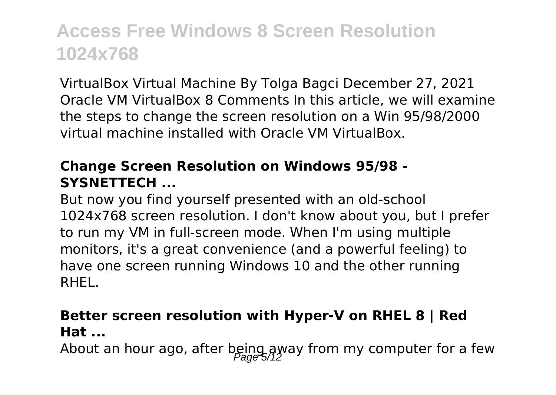VirtualBox Virtual Machine By Tolga Bagci December 27, 2021 Oracle VM VirtualBox 8 Comments In this article, we will examine the steps to change the screen resolution on a Win 95/98/2000 virtual machine installed with Oracle VM VirtualBox.

#### **Change Screen Resolution on Windows 95/98 - SYSNETTECH ...**

But now you find yourself presented with an old-school 1024x768 screen resolution. I don't know about you, but I prefer to run my VM in full-screen mode. When I'm using multiple monitors, it's a great convenience (and a powerful feeling) to have one screen running Windows 10 and the other running RHEL.

#### **Better screen resolution with Hyper-V on RHEL 8 | Red Hat ...**

About an hour ago, after being away from my computer for a few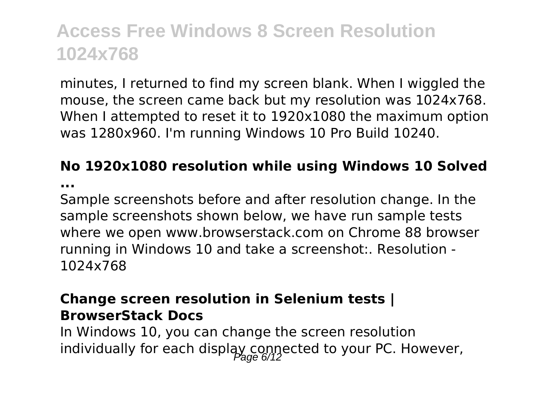minutes, I returned to find my screen blank. When I wiggled the mouse, the screen came back but my resolution was 1024x768. When I attempted to reset it to 1920x1080 the maximum option was 1280x960. I'm running Windows 10 Pro Build 10240.

### **No 1920x1080 resolution while using Windows 10 Solved**

**...**

Sample screenshots before and after resolution change. In the sample screenshots shown below, we have run sample tests where we open www.browserstack.com on Chrome 88 browser running in Windows 10 and take a screenshot:. Resolution - 1024x768

#### **Change screen resolution in Selenium tests | BrowserStack Docs**

In Windows 10, you can change the screen resolution individually for each display connected to your PC. However,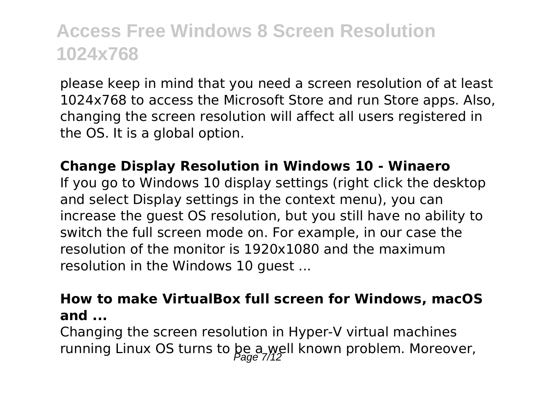please keep in mind that you need a screen resolution of at least 1024x768 to access the Microsoft Store and run Store apps. Also, changing the screen resolution will affect all users registered in the OS. It is a global option.

#### **Change Display Resolution in Windows 10 - Winaero**

If you go to Windows 10 display settings (right click the desktop and select Display settings in the context menu), you can increase the guest OS resolution, but you still have no ability to switch the full screen mode on. For example, in our case the resolution of the monitor is 1920x1080 and the maximum resolution in the Windows 10 guest ...

#### **How to make VirtualBox full screen for Windows, macOS and ...**

Changing the screen resolution in Hyper-V virtual machines running Linux OS turns to be a well known problem. Moreover,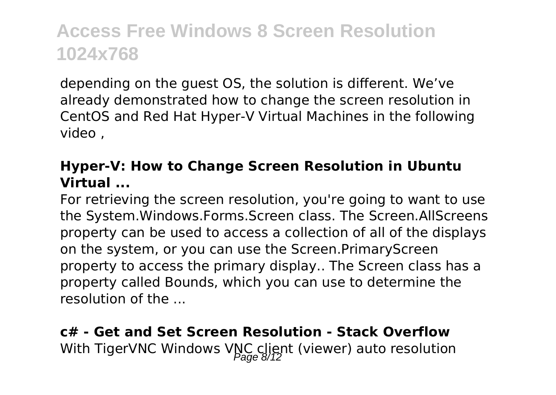depending on the guest OS, the solution is different. We've already demonstrated how to change the screen resolution in CentOS and Red Hat Hyper-V Virtual Machines in the following video ,

#### **Hyper-V: How to Change Screen Resolution in Ubuntu Virtual ...**

For retrieving the screen resolution, you're going to want to use the System.Windows.Forms.Screen class. The Screen.AllScreens property can be used to access a collection of all of the displays on the system, or you can use the Screen.PrimaryScreen property to access the primary display.. The Screen class has a property called Bounds, which you can use to determine the resolution of the ...

### **c# - Get and Set Screen Resolution - Stack Overflow** With TigerVNC Windows VNC client (viewer) auto resolution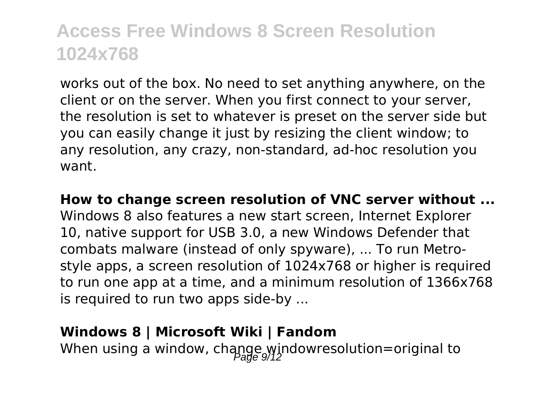works out of the box. No need to set anything anywhere, on the client or on the server. When you first connect to your server, the resolution is set to whatever is preset on the server side but you can easily change it just by resizing the client window; to any resolution, any crazy, non-standard, ad-hoc resolution you want.

**How to change screen resolution of VNC server without ...** Windows 8 also features a new start screen, Internet Explorer 10, native support for USB 3.0, a new Windows Defender that combats malware (instead of only spyware), ... To run Metrostyle apps, a screen resolution of 1024x768 or higher is required to run one app at a time, and a minimum resolution of 1366x768 is required to run two apps side-by ...

#### **Windows 8 | Microsoft Wiki | Fandom**

When using a window, change windowresolution=original to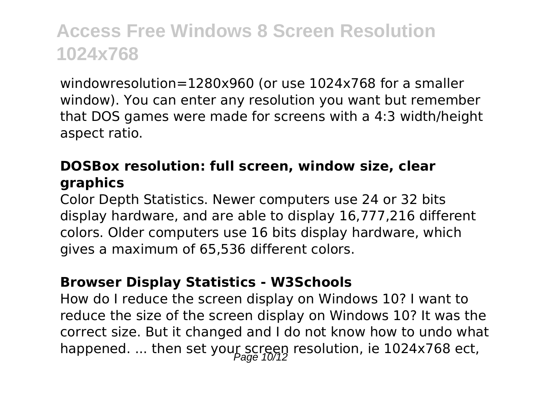windowresolution=1280x960 (or use 1024x768 for a smaller window). You can enter any resolution you want but remember that DOS games were made for screens with a 4:3 width/height aspect ratio.

#### **DOSBox resolution: full screen, window size, clear graphics**

Color Depth Statistics. Newer computers use 24 or 32 bits display hardware, and are able to display 16,777,216 different colors. Older computers use 16 bits display hardware, which gives a maximum of 65,536 different colors.

#### **Browser Display Statistics - W3Schools**

How do I reduce the screen display on Windows 10? I want to reduce the size of the screen display on Windows 10? It was the correct size. But it changed and I do not know how to undo what happened. ... then set your screen resolution, ie 1024x768 ect,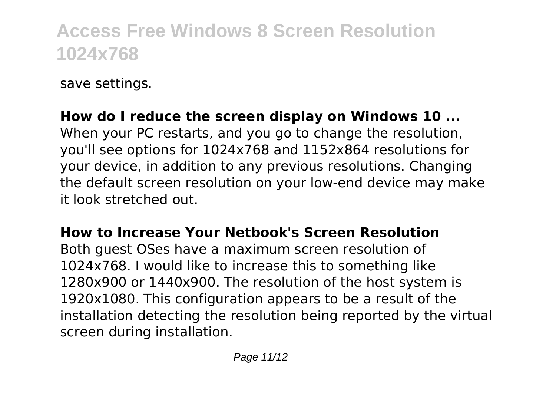save settings.

### **How do I reduce the screen display on Windows 10 ...**

When your PC restarts, and you go to change the resolution, you'll see options for 1024x768 and 1152x864 resolutions for your device, in addition to any previous resolutions. Changing the default screen resolution on your low-end device may make it look stretched out.

#### **How to Increase Your Netbook's Screen Resolution**

Both guest OSes have a maximum screen resolution of 1024x768. I would like to increase this to something like 1280x900 or 1440x900. The resolution of the host system is 1920x1080. This configuration appears to be a result of the installation detecting the resolution being reported by the virtual screen during installation.